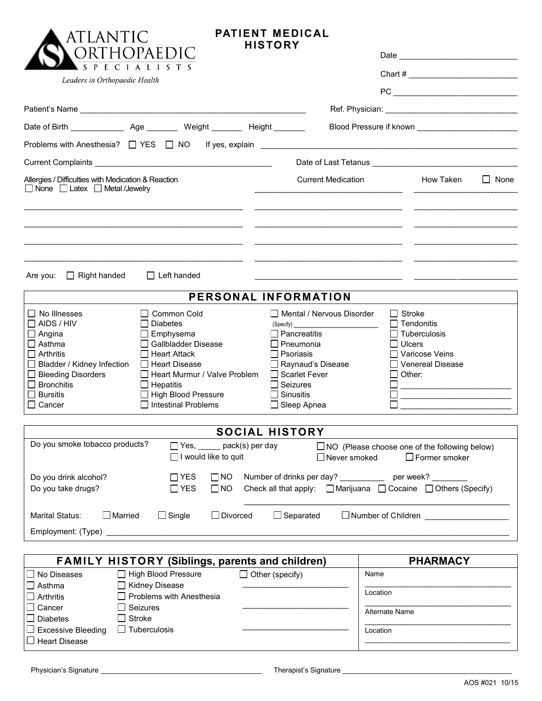| ORTHOPAEDIC<br>S P E C I A L<br>Leaders in Orthopaedic Health<br>Problems with Anesthesia? □ YES □ NO<br>If yes, explain example and the state of the state of the state of the state of the state of the state of the state of the state of the state of the state of the state of the state of the state of the state of the state of<br>Allergies / Difficulties with Medication & Reaction<br><b>Current Medication</b><br>$\Box$ None $\Box$ Latex $\Box$ Metal /Jewelry<br>$\Box$ Right handed<br>$\Box$ Left handed<br>Are you:<br>the control of the control of the control of the control of the control of<br>PERSONAL INFORMATION<br>$\Box$ No Illnesses<br>□ Common Cold<br>$\Box$ Mental / Nervous Disorder<br>$\Box$ AIDS / HIV<br><b>□</b> Diabetes<br>(Specify)<br>$\Box$ Angina<br>$\Box$ Emphysema<br>$\Box$ Pancreatitis<br>□ Gallbladder Disease<br>$\Box$ Asthma<br>$\Box$ Pneumonia<br>$\Box$ Arthritis<br>$\Box$ Psoriasis<br>$\Box$ Heart Attack<br>Raynaud's Disease<br>$\Box$ Bladder / Kidney Infection<br>□ Heart Disease<br>□ Bleeding Disorders<br>$\Box$ Heart Murmur / Valve Problem<br>$\Box$ Scarlet Fever<br>$\Box$ Bronchitis<br>$\Box$ Seizures<br>$\Box$ Hepatitis<br>$\Box$ Bursitis<br>High Blood Pressure<br>$\Box$ Sinusitis<br>□ Intestinal Problems<br>$\Box$ Cancer<br>$\Box$ Sleep Apnea<br><b>SOCIAL HISTORY</b><br>Do you smoke tobacco products?<br>Yes, ______ pack(s) per day<br>$\Box$ I would like to quit<br>$\Box$ Never smoked<br>$\Box$ YES<br>Number of drinks per day? ____________ per week? ______<br>Do you drink alcohol?<br>$\square$ NO<br>Do you take drugs?<br>Check all that apply: $\Box$ Marijuana $\Box$ Cocaine $\Box$ Others (Specify)<br>$\Box$ YES<br>$\Box$ NO<br>$\Box$ Separated<br>$\Box$ Married<br>$\Box$ Single<br>$\Box$ Divorced<br><b>Marital Status:</b><br><b>FAMILY HISTORY (Siblings, parents and children)</b> |                                                                                                                                | <b>PATIENT MEDICAL</b> | <b>HISTORY</b> |  | ATLANT |
|----------------------------------------------------------------------------------------------------------------------------------------------------------------------------------------------------------------------------------------------------------------------------------------------------------------------------------------------------------------------------------------------------------------------------------------------------------------------------------------------------------------------------------------------------------------------------------------------------------------------------------------------------------------------------------------------------------------------------------------------------------------------------------------------------------------------------------------------------------------------------------------------------------------------------------------------------------------------------------------------------------------------------------------------------------------------------------------------------------------------------------------------------------------------------------------------------------------------------------------------------------------------------------------------------------------------------------------------------------------------------------------------------------------------------------------------------------------------------------------------------------------------------------------------------------------------------------------------------------------------------------------------------------------------------------------------------------------------------------------------------------------------------------------------------------------------------------------------------------------------------------------------------------|--------------------------------------------------------------------------------------------------------------------------------|------------------------|----------------|--|--------|
|                                                                                                                                                                                                                                                                                                                                                                                                                                                                                                                                                                                                                                                                                                                                                                                                                                                                                                                                                                                                                                                                                                                                                                                                                                                                                                                                                                                                                                                                                                                                                                                                                                                                                                                                                                                                                                                                                                          |                                                                                                                                |                        |                |  |        |
|                                                                                                                                                                                                                                                                                                                                                                                                                                                                                                                                                                                                                                                                                                                                                                                                                                                                                                                                                                                                                                                                                                                                                                                                                                                                                                                                                                                                                                                                                                                                                                                                                                                                                                                                                                                                                                                                                                          |                                                                                                                                |                        |                |  |        |
|                                                                                                                                                                                                                                                                                                                                                                                                                                                                                                                                                                                                                                                                                                                                                                                                                                                                                                                                                                                                                                                                                                                                                                                                                                                                                                                                                                                                                                                                                                                                                                                                                                                                                                                                                                                                                                                                                                          | $\mathsf{PC}\_\_\_\_\_\_\_\_$                                                                                                  |                        |                |  |        |
|                                                                                                                                                                                                                                                                                                                                                                                                                                                                                                                                                                                                                                                                                                                                                                                                                                                                                                                                                                                                                                                                                                                                                                                                                                                                                                                                                                                                                                                                                                                                                                                                                                                                                                                                                                                                                                                                                                          |                                                                                                                                |                        |                |  |        |
|                                                                                                                                                                                                                                                                                                                                                                                                                                                                                                                                                                                                                                                                                                                                                                                                                                                                                                                                                                                                                                                                                                                                                                                                                                                                                                                                                                                                                                                                                                                                                                                                                                                                                                                                                                                                                                                                                                          |                                                                                                                                |                        |                |  |        |
|                                                                                                                                                                                                                                                                                                                                                                                                                                                                                                                                                                                                                                                                                                                                                                                                                                                                                                                                                                                                                                                                                                                                                                                                                                                                                                                                                                                                                                                                                                                                                                                                                                                                                                                                                                                                                                                                                                          |                                                                                                                                |                        |                |  |        |
|                                                                                                                                                                                                                                                                                                                                                                                                                                                                                                                                                                                                                                                                                                                                                                                                                                                                                                                                                                                                                                                                                                                                                                                                                                                                                                                                                                                                                                                                                                                                                                                                                                                                                                                                                                                                                                                                                                          |                                                                                                                                |                        |                |  |        |
|                                                                                                                                                                                                                                                                                                                                                                                                                                                                                                                                                                                                                                                                                                                                                                                                                                                                                                                                                                                                                                                                                                                                                                                                                                                                                                                                                                                                                                                                                                                                                                                                                                                                                                                                                                                                                                                                                                          |                                                                                                                                |                        |                |  |        |
|                                                                                                                                                                                                                                                                                                                                                                                                                                                                                                                                                                                                                                                                                                                                                                                                                                                                                                                                                                                                                                                                                                                                                                                                                                                                                                                                                                                                                                                                                                                                                                                                                                                                                                                                                                                                                                                                                                          | How Taken<br>None<br>$\mathbf{L}$                                                                                              |                        |                |  |        |
|                                                                                                                                                                                                                                                                                                                                                                                                                                                                                                                                                                                                                                                                                                                                                                                                                                                                                                                                                                                                                                                                                                                                                                                                                                                                                                                                                                                                                                                                                                                                                                                                                                                                                                                                                                                                                                                                                                          |                                                                                                                                |                        |                |  |        |
|                                                                                                                                                                                                                                                                                                                                                                                                                                                                                                                                                                                                                                                                                                                                                                                                                                                                                                                                                                                                                                                                                                                                                                                                                                                                                                                                                                                                                                                                                                                                                                                                                                                                                                                                                                                                                                                                                                          |                                                                                                                                |                        |                |  |        |
|                                                                                                                                                                                                                                                                                                                                                                                                                                                                                                                                                                                                                                                                                                                                                                                                                                                                                                                                                                                                                                                                                                                                                                                                                                                                                                                                                                                                                                                                                                                                                                                                                                                                                                                                                                                                                                                                                                          | Stroke<br>$\Box$ Tendonitis<br>$\Box$ Tuberculosis<br>$\Box$ Ulcers<br>□ Varicose Veins<br>□ Venereal Disease<br>$\Box$ Other: |                        |                |  |        |
|                                                                                                                                                                                                                                                                                                                                                                                                                                                                                                                                                                                                                                                                                                                                                                                                                                                                                                                                                                                                                                                                                                                                                                                                                                                                                                                                                                                                                                                                                                                                                                                                                                                                                                                                                                                                                                                                                                          |                                                                                                                                |                        |                |  |        |
|                                                                                                                                                                                                                                                                                                                                                                                                                                                                                                                                                                                                                                                                                                                                                                                                                                                                                                                                                                                                                                                                                                                                                                                                                                                                                                                                                                                                                                                                                                                                                                                                                                                                                                                                                                                                                                                                                                          | $\Box$ NO (Please choose one of the following below)<br>$\Box$ Former smoker                                                   |                        |                |  |        |
|                                                                                                                                                                                                                                                                                                                                                                                                                                                                                                                                                                                                                                                                                                                                                                                                                                                                                                                                                                                                                                                                                                                                                                                                                                                                                                                                                                                                                                                                                                                                                                                                                                                                                                                                                                                                                                                                                                          |                                                                                                                                |                        |                |  |        |
|                                                                                                                                                                                                                                                                                                                                                                                                                                                                                                                                                                                                                                                                                                                                                                                                                                                                                                                                                                                                                                                                                                                                                                                                                                                                                                                                                                                                                                                                                                                                                                                                                                                                                                                                                                                                                                                                                                          | Number of Children ________________                                                                                            |                        |                |  |        |
|                                                                                                                                                                                                                                                                                                                                                                                                                                                                                                                                                                                                                                                                                                                                                                                                                                                                                                                                                                                                                                                                                                                                                                                                                                                                                                                                                                                                                                                                                                                                                                                                                                                                                                                                                                                                                                                                                                          |                                                                                                                                |                        |                |  |        |
|                                                                                                                                                                                                                                                                                                                                                                                                                                                                                                                                                                                                                                                                                                                                                                                                                                                                                                                                                                                                                                                                                                                                                                                                                                                                                                                                                                                                                                                                                                                                                                                                                                                                                                                                                                                                                                                                                                          |                                                                                                                                |                        |                |  |        |
| High Blood Pressure<br>$\Box$ Other (specify)<br>No Diseases<br>Name                                                                                                                                                                                                                                                                                                                                                                                                                                                                                                                                                                                                                                                                                                                                                                                                                                                                                                                                                                                                                                                                                                                                                                                                                                                                                                                                                                                                                                                                                                                                                                                                                                                                                                                                                                                                                                     | <b>PHARMACY</b>                                                                                                                |                        |                |  |        |

| √ No Diseases             | $\Box$ High Blood Pressure      | $\Box$ Other (specify) | Name           |
|---------------------------|---------------------------------|------------------------|----------------|
| $\Box$ Asthma             | $\Box$ Kidney Disease           |                        |                |
| $\Box$ Arthritis          | $\Box$ Problems with Anesthesia |                        | Location       |
| $\Box$ Cancer             | $\Box$ Seizures                 |                        | Alternate Name |
| <b>Diabetes</b>           | $\Box$ Stroke                   |                        |                |
| $\Box$ Excessive Bleeding | $\Box$ Tuberculosis             |                        | Location       |
| $\Box$ Heart Disease      |                                 |                        |                |
|                           |                                 |                        |                |